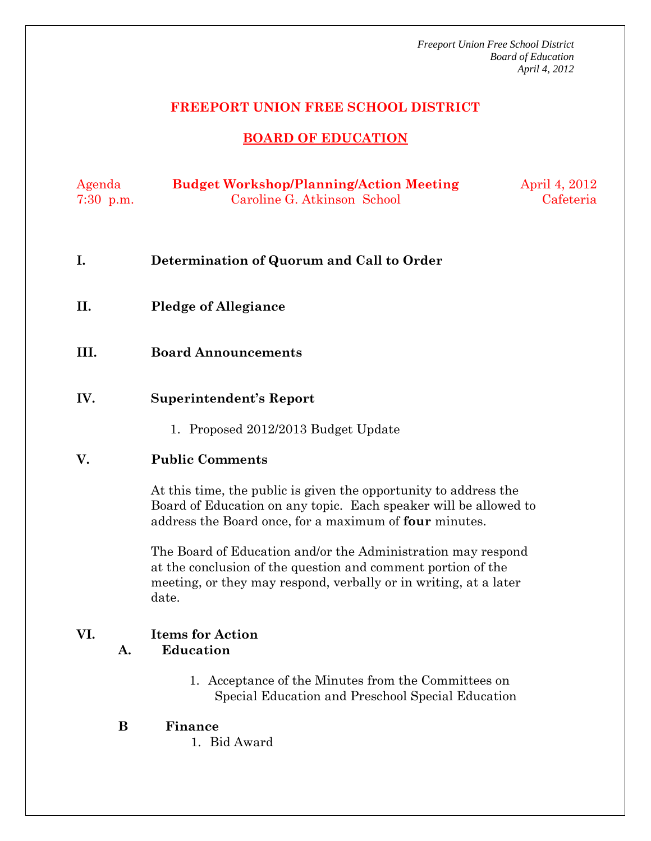### **FREEPORT UNION FREE SCHOOL DISTRICT**

## **BOARD OF EDUCATION**

| Agenda      | <b>Budget Workshop/Planning/Action Meeting</b> | April 4, 2012 |
|-------------|------------------------------------------------|---------------|
| $7:30$ p.m. | Caroline G. Atkinson School                    | Cafeteria     |

- **I. Determination of Quorum and Call to Order**
- **II. Pledge of Allegiance**
- **III. Board Announcements**
- **IV. Superintendent's Report** 
	- 1. Proposed 2012/2013 Budget Update

### **V. Public Comments**

At this time, the public is given the opportunity to address the Board of Education on any topic. Each speaker will be allowed to address the Board once, for a maximum of **four** minutes.

The Board of Education and/or the Administration may respond at the conclusion of the question and comment portion of the meeting, or they may respond, verbally or in writing, at a later date.

## **VI. Items for Action A. Education**

- 1. Acceptance of the Minutes from the Committees on Special Education and Preschool Special Education
- **B Finance** 
	- 1. Bid Award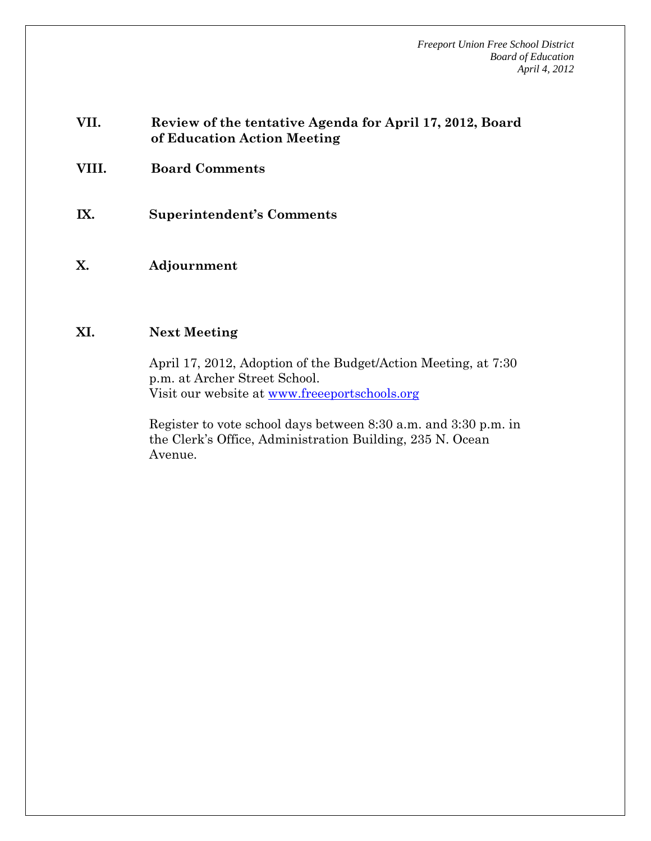### **VII. Review of the tentative Agenda for April 17, 2012, Board of Education Action Meeting**

- **VIII. Board Comments**
- **IX. Superintendent's Comments**
- **X. Adjournment**

#### **XI. Next Meeting**

April 17, 2012, Adoption of the Budget/Action Meeting, at 7:30 p.m. at Archer Street School. Visit our website at www.freeeportschools.org

Register to vote school days between 8:30 a.m. and 3:30 p.m. in the Clerk's Office, Administration Building, 235 N. Ocean Avenue.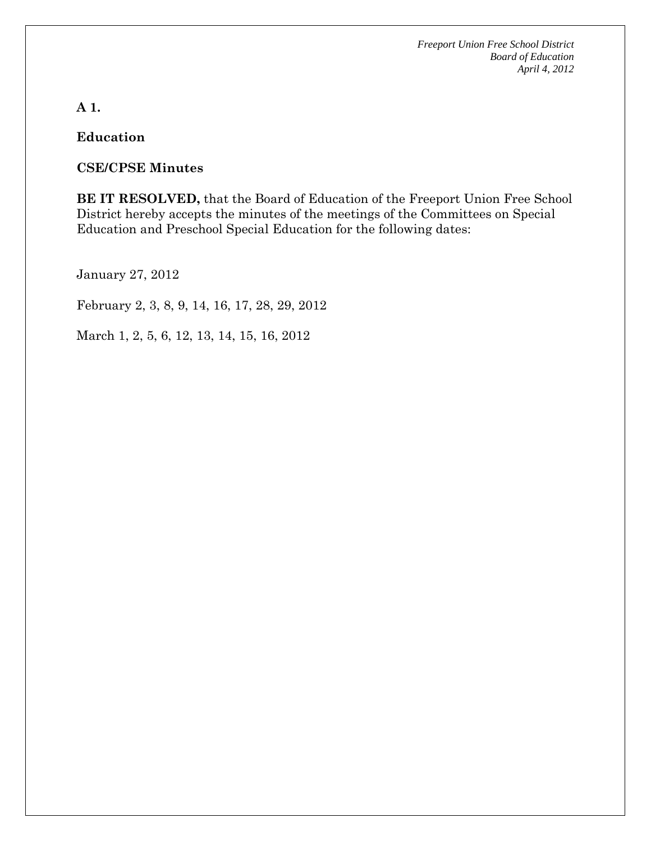# **A 1.**

## **Education**

## **CSE/CPSE Minutes**

**BE IT RESOLVED,** that the Board of Education of the Freeport Union Free School District hereby accepts the minutes of the meetings of the Committees on Special Education and Preschool Special Education for the following dates:

January 27, 2012

February 2, 3, 8, 9, 14, 16, 17, 28, 29, 2012

March 1, 2, 5, 6, 12, 13, 14, 15, 16, 2012